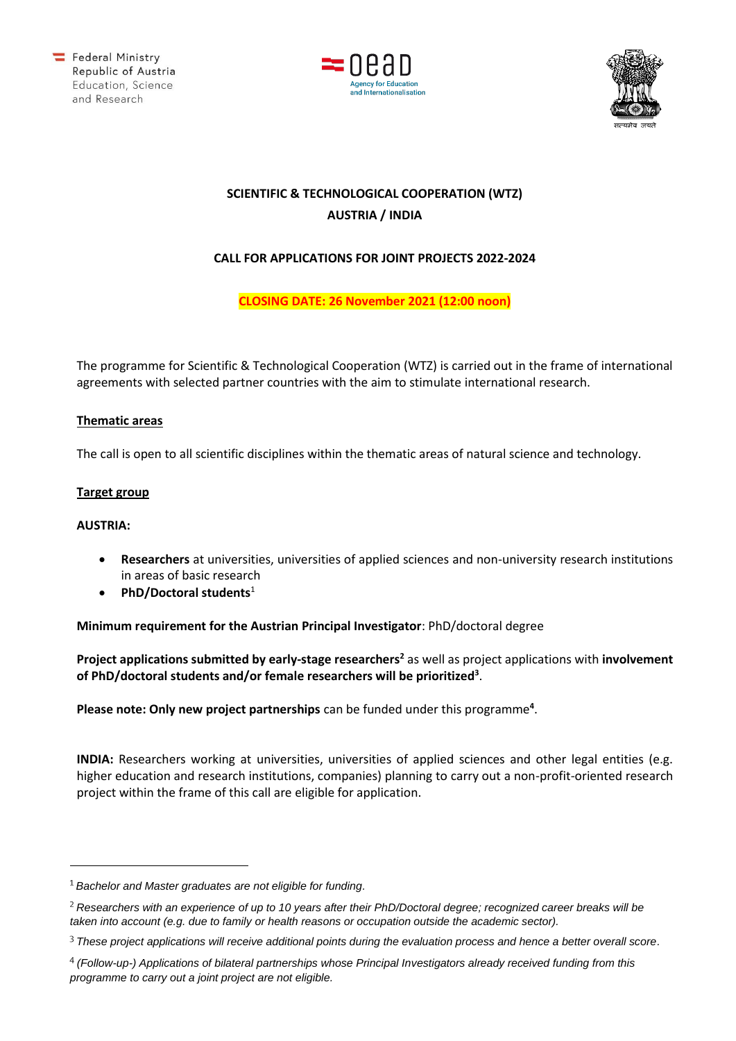





# **SCIENTIFIC & TECHNOLOGICAL COOPERATION (WTZ) AUSTRIA / INDIA**

## **CALL FOR APPLICATIONS FOR JOINT PROJECTS 2022-2024**

**CLOSING DATE: 26 November 2021 (12:00 noon)**

The programme for Scientific & Technological Cooperation (WTZ) is carried out in the frame of international agreements with selected partner countries with the aim to stimulate international research.

## **Thematic areas**

The call is open to all scientific disciplines within the thematic areas of natural science and technology.

## **Target group**

#### **AUSTRIA:**

- **Researchers** at universities, universities of applied sciences and non-university research institutions in areas of basic research
- **PhD/Doctoral students**<sup>1</sup>

**Minimum requirement for the Austrian Principal Investigator**: PhD/doctoral degree

**Project applications submitted by early-stage researchers<sup>2</sup>** as well as project applications with **involvement of PhD/doctoral students and/or female researchers will be prioritized<sup>3</sup>** .

Please note: Only new project partnerships can be funded under this programme<sup>4</sup>.

**INDIA:** Researchers working at universities, universities of applied sciences and other legal entities (e.g. higher education and research institutions, companies) planning to carry out a non-profit-oriented research project within the frame of this call are eligible for application.

*Bachelor and Master graduates are not eligible for funding.*

*Researchers with an experience of up to 10 years after their PhD/Doctoral degree; recognized career breaks will be taken into account (e.g. due to family or health reasons or occupation outside the academic sector).*

*These project applications will receive additional points during the evaluation process and hence a better overall score.*

*<sup>(</sup>Follow-up-) Applications of bilateral partnerships whose Principal Investigators already received funding from this programme to carry out a joint project are not eligible.*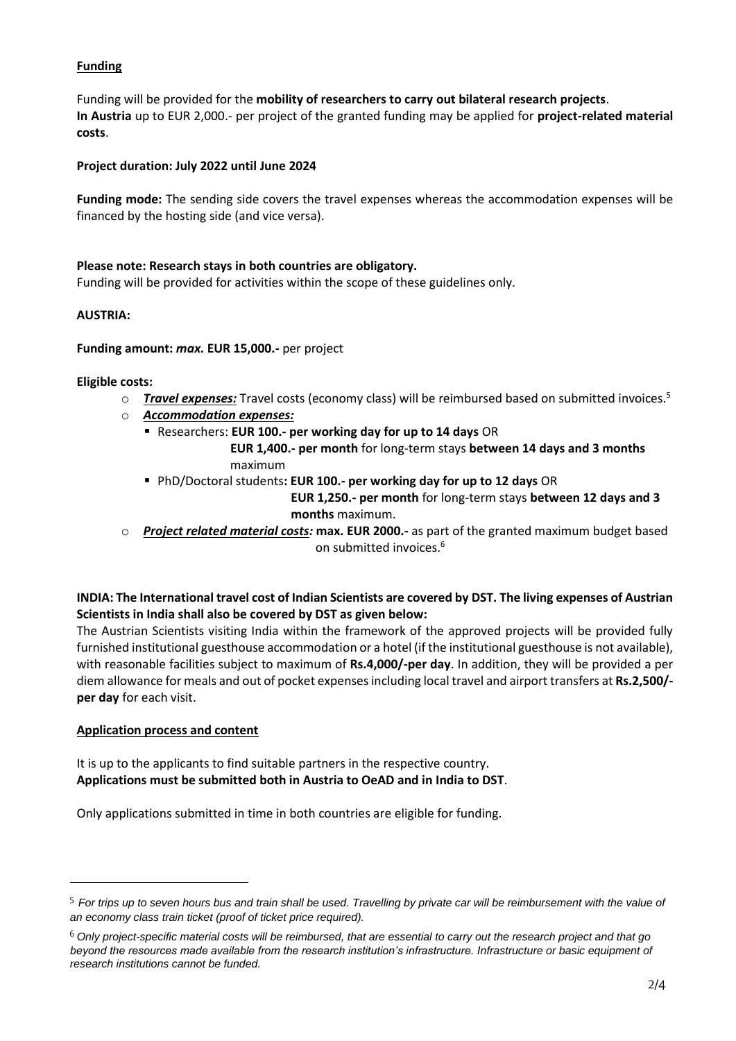## **Funding**

Funding will be provided for the **mobility of researchers to carry out bilateral research projects**. **In Austria** up to EUR 2,000.- per project of the granted funding may be applied for **project-related material costs**.

## **Project duration: July 2022 until June 2024**

**Funding mode:** The sending side covers the travel expenses whereas the accommodation expenses will be financed by the hosting side (and vice versa).

## **Please note: Research stays in both countries are obligatory.**

Funding will be provided for activities within the scope of these guidelines only.

## **AUSTRIA:**

**Funding amount:** *max.* **EUR 15,000.-** per project

#### **Eligible costs:**

- o *Travel expenses:* Travel costs (economy class) will be reimbursed based on submitted invoices.<sup>5</sup>
- o *Accommodation expenses:*
	- Researchers: **EUR 100.- per working day for up to 14 days** OR

 **EUR 1,400.- per month** for long-term stays **between 14 days and 3 months** maximum

▪ PhD/Doctoral students**: EUR 100.- per working day for up to 12 days** OR

 **EUR 1,250.- per month** for long-term stays **between 12 days and 3 months** maximum.

o *Project related material costs:* **max. EUR 2000.-** as part of the granted maximum budget based on submitted invoices.<sup>6</sup>

## **INDIA: The International travel cost of Indian Scientists are covered by DST. The living expenses of Austrian Scientists in India shall also be covered by DST as given below:**

The Austrian Scientists visiting India within the framework of the approved projects will be provided fully furnished institutional guesthouse accommodation or a hotel (if the institutional guesthouse is not available), with reasonable facilities subject to maximum of **Rs.4,000/-per day**. In addition, they will be provided a per diem allowance for meals and out of pocket expenses including local travel and airport transfers at **Rs.2,500/ per day** for each visit.

## **Application process and content**

It is up to the applicants to find suitable partners in the respective country. **Applications must be submitted both in Austria to OeAD and in India to DST**.

Only applications submitted in time in both countries are eligible for funding.

<sup>&</sup>lt;sup>5</sup> For trips up to seven hours bus and train shall be used. Travelling by private car will be reimbursement with the value of *an economy class train ticket (proof of ticket price required).*

*Only project-specific material costs will be reimbursed, that are essential to carry out the research project and that go beyond the resources made available from the research institution's infrastructure. Infrastructure or basic equipment of research institutions cannot be funded.*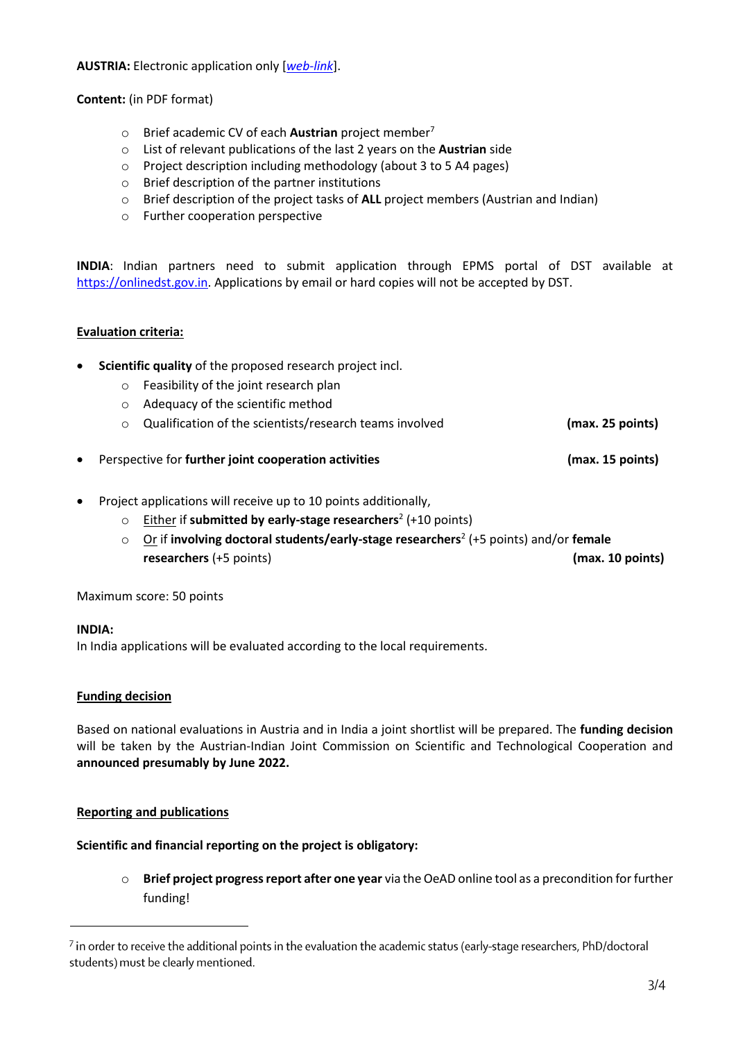**AUSTRIA:** Electronic application only [*[web-link](https://asp.sop.co.at/oead/antrag?call=IN2022_24)*].

**Content:** (in PDF format)

- o Brief academic CV of each **Austrian** project member<sup>7</sup>
- o List of relevant publications of the last 2 years on the **Austrian** side
- o Project description including methodology (about 3 to 5 A4 pages)
- o Brief description of the partner institutions
- o Brief description of the project tasks of **ALL** project members (Austrian and Indian)
- o Further cooperation perspective

**INDIA**: Indian partners need to submit application through EPMS portal of DST available at [https://onlinedst.gov.in.](https://onlinedst.gov.in/) Applications by email or hard copies will not be accepted by DST.

## **Evaluation criteria:**

- **Scientific quality** of the proposed research project incl.
	- o Feasibility of the joint research plan
	- o Adequacy of the scientific method
	- o Qualification of the scientists/research teams involved **(max. 25 points)**
- Perspective for **further joint cooperation activities (max. 15 points)**
- Project applications will receive up to 10 points additionally,
	- o Either if **submitted by early-stage researchers**<sup>2</sup> (+10 points)
	- o Or if **involving doctoral students/early-stage researchers**<sup>2</sup> (+5 points) and/or **female researchers** (+5 points) **(max. 10 points)**

Maximum score: 50 points

#### **INDIA:**

In India applications will be evaluated according to the local requirements.

## **Funding decision**

Based on national evaluations in Austria and in India a joint shortlist will be prepared. The **funding decision** will be taken by the Austrian-Indian Joint Commission on Scientific and Technological Cooperation and **announced presumably by June 2022.**

## **Reporting and publications**

## **Scientific and financial reporting on the project is obligatory:**

o **Brief project progress report after one year** via the OeAD online tool as a precondition for further funding!

 $^7$  in order to receive the additional points in the evaluation the academic status (early-stage researchers, PhD/doctoral students) must be clearly mentioned.